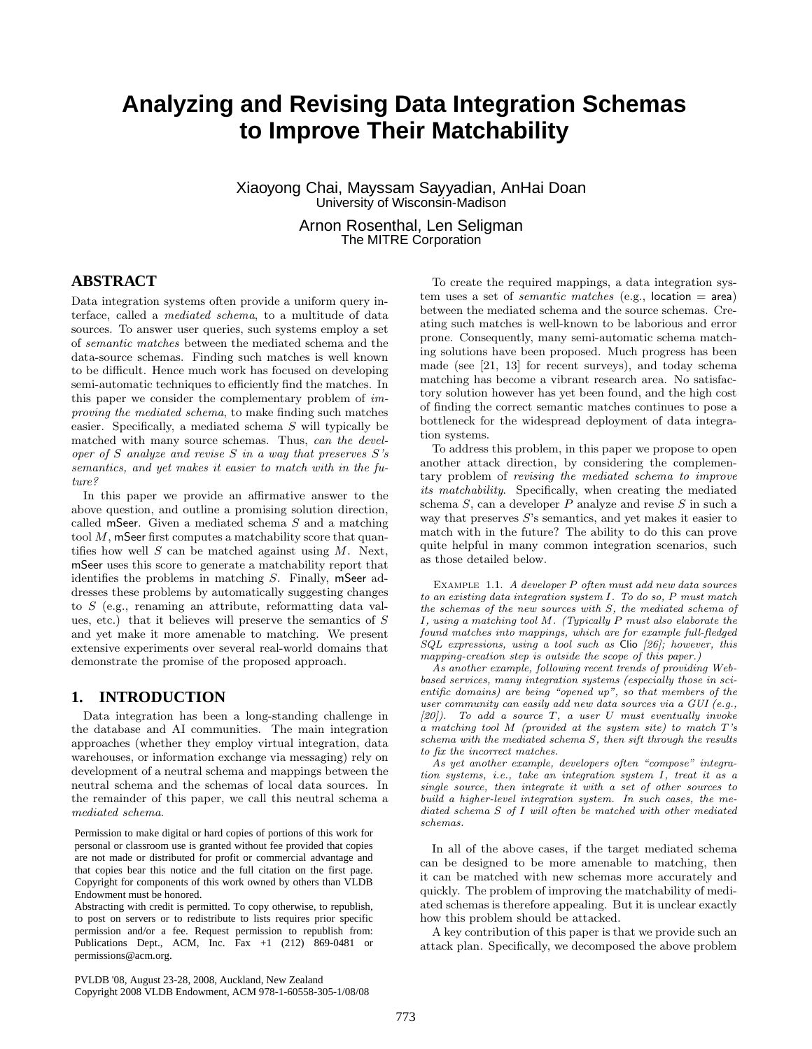# **Analyzing and Revising Data Integration Schemas to Improve Their Matchability**

Xiaoyong Chai, Mayssam Sayyadian, AnHai Doan University of Wisconsin-Madison

> Arnon Rosenthal, Len Seligman The MITRE Corporation

# **ABSTRACT**

Data integration systems often provide a uniform query interface, called a mediated schema, to a multitude of data sources. To answer user queries, such systems employ a set of semantic matches between the mediated schema and the data-source schemas. Finding such matches is well known to be difficult. Hence much work has focused on developing semi-automatic techniques to efficiently find the matches. In this paper we consider the complementary problem of improving the mediated schema, to make finding such matches easier. Specifically, a mediated schema S will typically be matched with many source schemas. Thus, can the developer of S analyze and revise S in a way that preserves  $S$ 's semantics, and yet makes it easier to match with in the future?

In this paper we provide an affirmative answer to the above question, and outline a promising solution direction, called mSeer. Given a mediated schema  $S$  and a matching tool  $M$ , mSeer first computes a matchability score that quantifies how well  $S$  can be matched against using  $M$ . Next, mSeer uses this score to generate a matchability report that identifies the problems in matching S. Finally, mSeer addresses these problems by automatically suggesting changes to S (e.g., renaming an attribute, reformatting data values, etc.) that it believes will preserve the semantics of S and yet make it more amenable to matching. We present extensive experiments over several real-world domains that demonstrate the promise of the proposed approach.

# **1. INTRODUCTION**

Data integration has been a long-standing challenge in the database and AI communities. The main integration approaches (whether they employ virtual integration, data warehouses, or information exchange via messaging) rely on development of a neutral schema and mappings between the neutral schema and the schemas of local data sources. In the remainder of this paper, we call this neutral schema a mediated schema.

are not made or distributed for profit or commercial advantage and that copies bear this notice and the full citation on the first page. the VLDB copyright notice and the title of the publication and its date appear, Copyright for components of this work owned by others than VLDB Endowment must be honored. Permission to make digital or hard copies of portions of this work for personal or classroom use is granted without fee provided that copies

Abstracting with credit is permitted. To copy otherwise, to republish, to post on servers or to redistribute to lists requires prior specific permission and/or a fee. Request permission to republish from: *Permission and/of a fee, Request permission to re-*Publications Dept., ACM, Inc. Fax  $+1$  (212) 869-0481 or<br>normizations  $\oslash$  compares permissions@acm.org.

To create the required mappings, a data integration system uses a set of *semantic matches* (e.g., location  $=$  area) between the mediated schema and the source schemas. Creating such matches is well-known to be laborious and error prone. Consequently, many semi-automatic schema matching solutions have been proposed. Much progress has been made (see [21, 13] for recent surveys), and today schema matching has become a vibrant research area. No satisfactory solution however has yet been found, and the high cost of finding the correct semantic matches continues to pose a bottleneck for the widespread deployment of data integration systems.

To address this problem, in this paper we propose to open another attack direction, by considering the complementary problem of revising the mediated schema to improve its matchability. Specifically, when creating the mediated schema S, can a developer P analyze and revise S in such a way that preserves S's semantics, and yet makes it easier to match with in the future? The ability to do this can prove quite helpful in many common integration scenarios, such as those detailed below.

Example 1.1. A developer P often must add new data sources to an existing data integration system I. To do so, P must match the schemas of the new sources with S, the mediated schema of I, using a matching tool M. (Typically P must also elaborate the found matches into mappings, which are for example full-fledged SQL expressions, using a tool such as Clio [26]; however, this mapping-creation step is outside the scope of this paper.)

As another example, following recent trends of providing Webbased services, many integration systems (especially those in scientific domains) are being "opened up", so that members of the user community can easily add new data sources via a GUI (e.g.,  $[20]$ . To add a source T, a user U must eventually invoke a matching tool M (provided at the system site) to match T's schema with the mediated schema S, then sift through the results to fix the incorrect matches.

As yet another example, developers often "compose" integration systems, i.e., take an integration system I, treat it as a single source, then integrate it with a set of other sources to build a higher-level integration system. In such cases, the mediated schema S of I will often be matched with other mediated schemas.

In all of the above cases, if the target mediated schema can be designed to be more amenable to matching, then it can be matched with new schemas more accurately and quickly. The problem of improving the matchability of mediated schemas is therefore appealing. But it is unclear exactly how this problem should be attacked.

A key contribution of this paper is that we provide such an attack plan. Specifically, we decomposed the above problem

PVLDB '08, August 23-28, 2008, Auckland, New Zealand Copyright 2008 VLDB Endowment, ACM 978-1-60558-305-1/08/08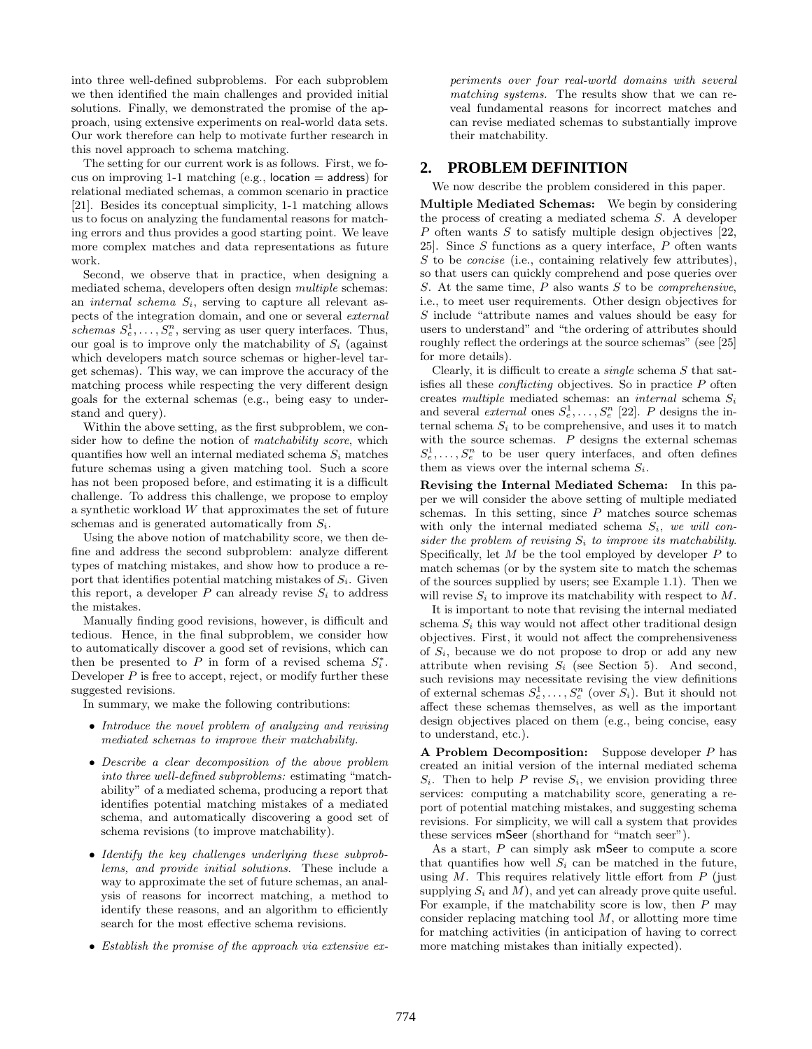into three well-defined subproblems. For each subproblem we then identified the main challenges and provided initial solutions. Finally, we demonstrated the promise of the approach, using extensive experiments on real-world data sets. Our work therefore can help to motivate further research in this novel approach to schema matching.

The setting for our current work is as follows. First, we focus on improving 1-1 matching (e.g., location  $=$  address) for relational mediated schemas, a common scenario in practice [21]. Besides its conceptual simplicity, 1-1 matching allows us to focus on analyzing the fundamental reasons for matching errors and thus provides a good starting point. We leave more complex matches and data representations as future work.

Second, we observe that in practice, when designing a mediated schema, developers often design multiple schemas: an *internal schema*  $S_i$ , serving to capture all relevant aspects of the integration domain, and one or several external schemas  $S_e^1, \ldots, S_e^n$ , serving as user query interfaces. Thus, our goal is to improve only the matchability of  $S_i$  (against which developers match source schemas or higher-level target schemas). This way, we can improve the accuracy of the matching process while respecting the very different design goals for the external schemas (e.g., being easy to understand and query).

Within the above setting, as the first subproblem, we consider how to define the notion of *matchability score*, which quantifies how well an internal mediated schema  $S_i$  matches future schemas using a given matching tool. Such a score has not been proposed before, and estimating it is a difficult challenge. To address this challenge, we propose to employ a synthetic workload W that approximates the set of future schemas and is generated automatically from  $S_i$ .

Using the above notion of matchability score, we then define and address the second subproblem: analyze different types of matching mistakes, and show how to produce a report that identifies potential matching mistakes of  $S_i$ . Given this report, a developer P can already revise  $S_i$  to address the mistakes.

Manually finding good revisions, however, is difficult and tedious. Hence, in the final subproblem, we consider how to automatically discover a good set of revisions, which can then be presented to P in form of a revised schema  $S_i^*$ . Developer  $P$  is free to accept, reject, or modify further these suggested revisions.

In summary, we make the following contributions:

- Introduce the novel problem of analyzing and revising mediated schemas to improve their matchability.
- Describe a clear decomposition of the above problem into three well-defined subproblems: estimating "matchability" of a mediated schema, producing a report that identifies potential matching mistakes of a mediated schema, and automatically discovering a good set of schema revisions (to improve matchability).
- Identify the key challenges underlying these subproblems, and provide initial solutions. These include a way to approximate the set of future schemas, an analysis of reasons for incorrect matching, a method to identify these reasons, and an algorithm to efficiently search for the most effective schema revisions.
- Establish the promise of the approach via extensive ex-

periments over four real-world domains with several matching systems. The results show that we can reveal fundamental reasons for incorrect matches and can revise mediated schemas to substantially improve their matchability.

# **2. PROBLEM DEFINITION**

We now describe the problem considered in this paper.

Multiple Mediated Schemas: We begin by considering the process of creating a mediated schema S. A developer  $P$  often wants  $S$  to satisfy multiple design objectives [22, 25]. Since  $S$  functions as a query interface,  $P$  often wants S to be *concise* (i.e., containing relatively few attributes), so that users can quickly comprehend and pose queries over S. At the same time,  $P$  also wants  $S$  to be *comprehensive*, i.e., to meet user requirements. Other design objectives for S include "attribute names and values should be easy for users to understand" and "the ordering of attributes should roughly reflect the orderings at the source schemas" (see [25] for more details).

Clearly, it is difficult to create a *single* schema  $S$  that satisfies all these *conflicting* objectives. So in practice  $P$  often creates multiple mediated schemas: an internal schema  $S_i$ and several external ones  $S_e^1, \ldots, S_e^n$  [22]. P designs the internal schema  $S_i$  to be comprehensive, and uses it to match with the source schemas.  $P$  designs the external schemas  $S_e^1, \ldots, S_e^n$  to be user query interfaces, and often defines them as views over the internal schema  $S_i$ .

Revising the Internal Mediated Schema: In this paper we will consider the above setting of multiple mediated schemas. In this setting, since  $P$  matches source schemas with only the internal mediated schema  $S_i$ , we will consider the problem of revising  $S_i$  to improve its matchability. Specifically, let  $M$  be the tool employed by developer  $P$  to match schemas (or by the system site to match the schemas of the sources supplied by users; see Example 1.1). Then we will revise  $S_i$  to improve its matchability with respect to  $M$ .

It is important to note that revising the internal mediated schema  $S_i$  this way would not affect other traditional design objectives. First, it would not affect the comprehensiveness of  $S_i$ , because we do not propose to drop or add any new attribute when revising  $S_i$  (see Section 5). And second, such revisions may necessitate revising the view definitions of external schemas  $S_e^1, \ldots, S_e^n$  (over  $S_i$ ). But it should not affect these schemas themselves, as well as the important design objectives placed on them (e.g., being concise, easy to understand, etc.).

A Problem Decomposition: Suppose developer P has created an initial version of the internal mediated schema  $S_i$ . Then to help P revise  $S_i$ , we envision providing three services: computing a matchability score, generating a report of potential matching mistakes, and suggesting schema revisions. For simplicity, we will call a system that provides these services mSeer (shorthand for "match seer").

As a start, P can simply ask mSeer to compute a score that quantifies how well  $S_i$  can be matched in the future, using  $M$ . This requires relatively little effort from  $P$  (just supplying  $S_i$  and M), and yet can already prove quite useful. For example, if the matchability score is low, then  $P$  may consider replacing matching tool  $M$ , or allotting more time for matching activities (in anticipation of having to correct more matching mistakes than initially expected).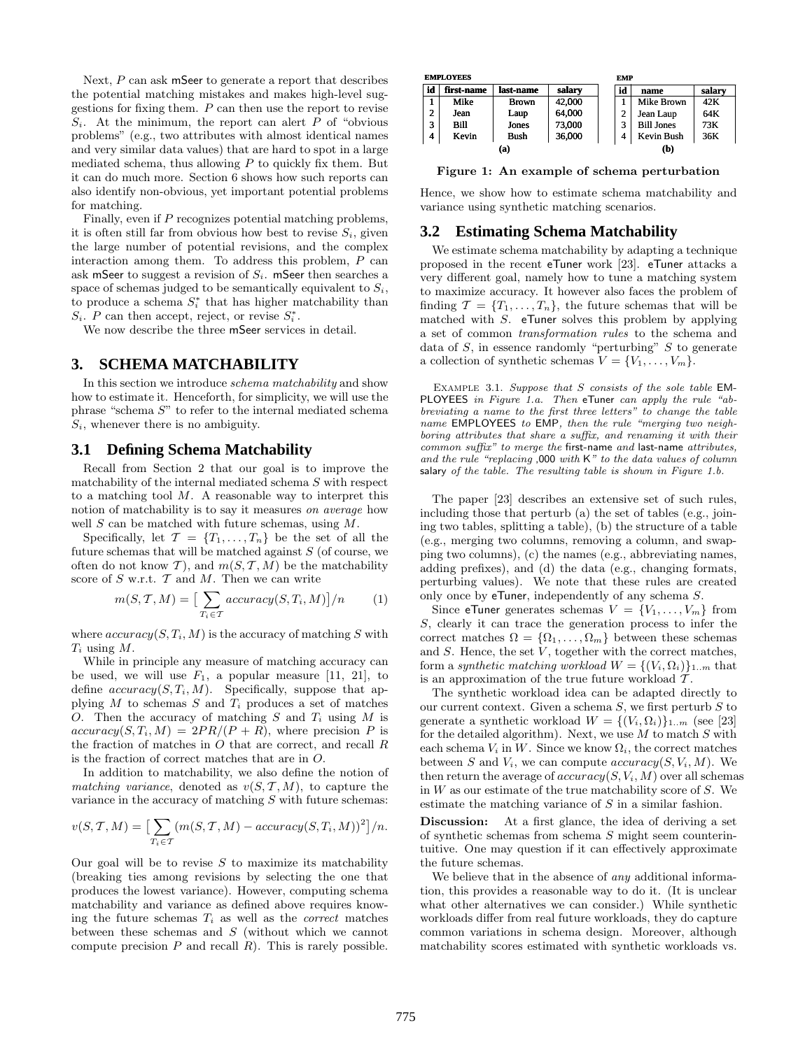Next, P can ask mSeer to generate a report that describes the potential matching mistakes and makes high-level suggestions for fixing them.  $P$  can then use the report to revise  $S_i$ . At the minimum, the report can alert P of "obvious" problems" (e.g., two attributes with almost identical names and very similar data values) that are hard to spot in a large mediated schema, thus allowing  $P$  to quickly fix them. But it can do much more. Section 6 shows how such reports can also identify non-obvious, yet important potential problems for matching.

Finally, even if P recognizes potential matching problems, it is often still far from obvious how best to revise  $S_i$ , given the large number of potential revisions, and the complex interaction among them. To address this problem,  $P$  can ask mSeer to suggest a revision of  $S_i$ . mSeer then searches a space of schemas judged to be semantically equivalent to  $S_i$ , to produce a schema  $S_i^*$  that has higher matchability than  $S_i$ . P can then accept, reject, or revise  $S_i^*$ .

We now describe the three mSeer services in detail.

# **3. SCHEMA MATCHABILITY**

In this section we introduce *schema matchability* and show how to estimate it. Henceforth, for simplicity, we will use the phrase "schema S" to refer to the internal mediated schema  $S_i$ , whenever there is no ambiguity.

#### **3.1 Defining Schema Matchability**

Recall from Section 2 that our goal is to improve the matchability of the internal mediated schema S with respect to a matching tool  $M$ . A reasonable way to interpret this notion of matchability is to say it measures on average how well  $S$  can be matched with future schemas, using  $M$ .

Specifically, let  $\mathcal{T} = \{T_1, \ldots, T_n\}$  be the set of all the future schemas that will be matched against  $S$  (of course, we often do not know T), and  $m(S, T, M)$  be the matchability score of  $S$  w.r.t.  $T$  and  $M$ . Then we can write

$$
m(S, \mathcal{T}, M) = \left[\sum_{T_i \in \mathcal{T}} \operatorname{accuracy}(S, T_i, M)\right] / n \tag{1}
$$

where  $accuracy(S, T_i, M)$  is the accuracy of matching S with  $T_i$  using  $M$ .

While in principle any measure of matching accuracy can be used, we will use  $F_1$ , a popular measure [11, 21], to define  $accuracy(S, T_i, M)$ . Specifically, suppose that applying M to schemas S and  $T_i$  produces a set of matches O. Then the accuracy of matching S and  $T_i$  using M is  $accuracy(S, T_i, M) = 2PR/(P + R)$ , where precision P is the fraction of matches in  $O$  that are correct, and recall  $R$ is the fraction of correct matches that are in O.

In addition to matchability, we also define the notion of matching variance, denoted as  $v(S, \mathcal{T}, M)$ , to capture the variance in the accuracy of matching  $S$  with future schemas:

$$
v(S, \mathcal{T}, M) = \left[\sum_{T_i \in \mathcal{T}} (m(S, \mathcal{T}, M) - accuracy(S, T_i, M))^2\right]/n.
$$

Our goal will be to revise  $S$  to maximize its matchability (breaking ties among revisions by selecting the one that produces the lowest variance). However, computing schema matchability and variance as defined above requires knowing the future schemas  $T_i$  as well as the *correct* matches between these schemas and  $S$  (without which we cannot compute precision  $P$  and recall  $R$ ). This is rarely possible.

| <b>EMPLOYEES</b> |            |              |        |  | <b>EMP</b> |                   |        |
|------------------|------------|--------------|--------|--|------------|-------------------|--------|
| id               | first-name | last-name    | salary |  | id         | name              | salary |
|                  | Mike       | <b>Brown</b> | 42,000 |  |            | Mike Brown        | 42K    |
| 2                | Jean       | Laup         | 64,000 |  | n          | Jean Laup         | 64K    |
| 3                | Bill       | Jones        | 73,000 |  | 3          | <b>Bill Jones</b> | 73K    |
| 4                | Kevin      | Bush         | 36,000 |  | 4          | <b>Kevin Bush</b> | 36K    |
|                  | (a)        |              |        |  |            | (b)               |        |

Figure 1: An example of schema perturbation

Hence, we show how to estimate schema matchability and variance using synthetic matching scenarios.

### **3.2 Estimating Schema Matchability**

We estimate schema matchability by adapting a technique proposed in the recent eTuner work [23]. eTuner attacks a very different goal, namely how to tune a matching system to maximize accuracy. It however also faces the problem of finding  $\mathcal{T} = \{T_1, \ldots, T_n\}$ , the future schemas that will be matched with S. eTuner solves this problem by applying a set of common transformation rules to the schema and data of S, in essence randomly "perturbing" S to generate a collection of synthetic schemas  $V = \{V_1, \ldots, V_m\}.$ 

EXAMPLE 3.1. Suppose that S consists of the sole table EM-PLOYEES in Figure 1.a. Then eTuner can apply the rule "abbreviating a name to the first three letters" to change the table name EMPLOYEES to EMP, then the rule "merging two neighboring attributes that share a suffix, and renaming it with their common suffix" to merge the first-name and last-name attributes, and the rule "replacing ,000 with K" to the data values of column salary of the table. The resulting table is shown in Figure 1.b.

The paper [23] describes an extensive set of such rules, including those that perturb (a) the set of tables (e.g., joining two tables, splitting a table), (b) the structure of a table (e.g., merging two columns, removing a column, and swapping two columns), (c) the names (e.g., abbreviating names, adding prefixes), and (d) the data (e.g., changing formats, perturbing values). We note that these rules are created only once by eTuner, independently of any schema S.

Since eTuner generates schemas  $V = \{V_1, \ldots, V_m\}$  from S, clearly it can trace the generation process to infer the correct matches  $\Omega = {\Omega_1, \ldots, \Omega_m}$  between these schemas and  $S$ . Hence, the set  $V$ , together with the correct matches, form a synthetic matching workload  $W = \{(V_i, \Omega_i)\}_{1..m}$  that is an approximation of the true future workload  $T$ .

The synthetic workload idea can be adapted directly to our current context. Given a schema  $S$ , we first perturb  $S$  to generate a synthetic workload  $W = \{(V_i, \Omega_i)\}_{1..m}$  (see [23] for the detailed algorithm). Next, we use  $M$  to match  $S$  with each schema  $V_i$  in W. Since we know  $\Omega_i$ , the correct matches between S and  $V_i$ , we can compute  $accuracy(S, V_i, M)$ . We then return the average of  $accuracy(S, V_i, M)$  over all schemas in  $W$  as our estimate of the true matchability score of  $S$ . We estimate the matching variance of S in a similar fashion.

Discussion: At a first glance, the idea of deriving a set of synthetic schemas from schema S might seem counterintuitive. One may question if it can effectively approximate the future schemas.

We believe that in the absence of *any* additional information, this provides a reasonable way to do it. (It is unclear what other alternatives we can consider.) While synthetic workloads differ from real future workloads, they do capture common variations in schema design. Moreover, although matchability scores estimated with synthetic workloads vs.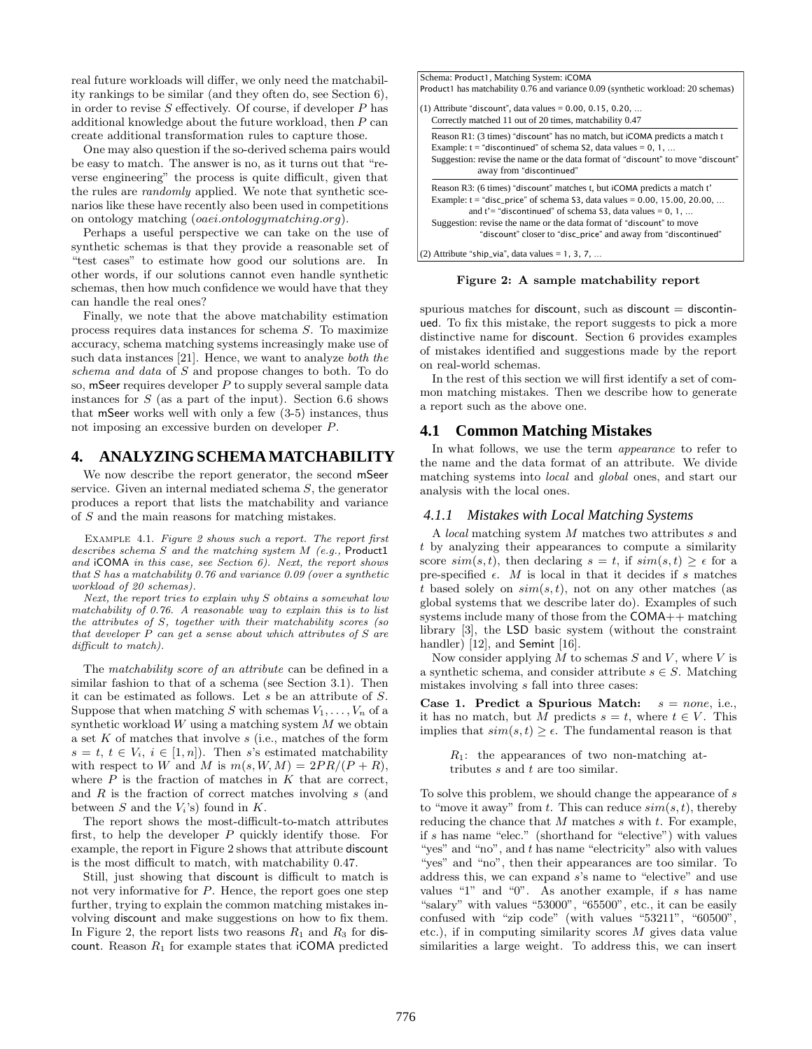real future workloads will differ, we only need the matchability rankings to be similar (and they often do, see Section 6), in order to revise  $S$  effectively. Of course, if developer  $P$  has additional knowledge about the future workload, then P can create additional transformation rules to capture those.

One may also question if the so-derived schema pairs would be easy to match. The answer is no, as it turns out that "reverse engineering" the process is quite difficult, given that the rules are randomly applied. We note that synthetic scenarios like these have recently also been used in competitions on ontology matching (oaei.ontologymatching.org).

Perhaps a useful perspective we can take on the use of synthetic schemas is that they provide a reasonable set of "test cases" to estimate how good our solutions are. In other words, if our solutions cannot even handle synthetic schemas, then how much confidence we would have that they can handle the real ones?

Finally, we note that the above matchability estimation process requires data instances for schema S. To maximize accuracy, schema matching systems increasingly make use of such data instances [21]. Hence, we want to analyze both the schema and data of S and propose changes to both. To do so, mSeer requires developer  $P$  to supply several sample data instances for  $S$  (as a part of the input). Section 6.6 shows that mSeer works well with only a few (3-5) instances, thus not imposing an excessive burden on developer P.

# **4. ANALYZING SCHEMA MATCHABILITY**

We now describe the report generator, the second mSeer service. Given an internal mediated schema S, the generator produces a report that lists the matchability and variance of S and the main reasons for matching mistakes.

Example 4.1. Figure 2 shows such a report. The report first describes schema S and the matching system M (e.g., Product1 and iCOMA in this case, see Section 6). Next, the report shows that S has a matchability 0.76 and variance 0.09 (over a synthetic workload of 20 schemas).

Next, the report tries to explain why S obtains a somewhat low matchability of 0.76. A reasonable way to explain this is to list the attributes of S, together with their matchability scores (so that developer  $\tilde{P}$  can get a sense about which attributes of  $S$  are difficult to match).

The matchability score of an attribute can be defined in a similar fashion to that of a schema (see Section 3.1). Then it can be estimated as follows. Let s be an attribute of S. Suppose that when matching S with schemas  $V_1, \ldots, V_n$  of a synthetic workload  $W$  using a matching system  $M$  we obtain a set  $K$  of matches that involve  $s$  (i.e., matches of the form  $s = t, t \in V_i, i \in [1, n]$ . Then s's estimated matchability with respect to W and M is  $m(s, W, M) = 2PR/(P + R)$ , where  $P$  is the fraction of matches in  $K$  that are correct, and  $R$  is the fraction of correct matches involving  $s$  (and between S and the  $V_i$ 's) found in K.

The report shows the most-difficult-to-match attributes first, to help the developer  $P$  quickly identify those. For example, the report in Figure 2 shows that attribute discount is the most difficult to match, with matchability 0.47.

Still, just showing that discount is difficult to match is not very informative for P. Hence, the report goes one step further, trying to explain the common matching mistakes involving discount and make suggestions on how to fix them. In Figure 2, the report lists two reasons  $R_1$  and  $R_3$  for discount. Reason  $R_1$  for example states that  $\mathsf{iCOMA}\mathsf{predicted}$ 



Figure 2: A sample matchability report

spurious matches for discount, such as discount  $=$  discontinued. To fix this mistake, the report suggests to pick a more distinctive name for discount. Section 6 provides examples of mistakes identified and suggestions made by the report on real-world schemas.

In the rest of this section we will first identify a set of common matching mistakes. Then we describe how to generate a report such as the above one.

# **4.1 Common Matching Mistakes**

In what follows, we use the term appearance to refer to the name and the data format of an attribute. We divide matching systems into local and global ones, and start our analysis with the local ones.

#### *4.1.1 Mistakes with Local Matching Systems*

A local matching system M matches two attributes s and t by analyzing their appearances to compute a similarity score  $sim(s, t)$ , then declaring  $s = t$ , if  $sim(s, t) \geq \epsilon$  for a pre-specified  $\epsilon$ . M is local in that it decides if s matches t based solely on  $sim(s, t)$ , not on any other matches (as global systems that we describe later do). Examples of such systems include many of those from the COMA++ matching library [3], the LSD basic system (without the constraint handler) [12], and Semint [16].

Now consider applying  $M$  to schemas  $S$  and  $V$ , where  $V$  is a synthetic schema, and consider attribute  $s \in S$ . Matching mistakes involving s fall into three cases:

Case 1. Predict a Spurious Match:  $s = none$ , i.e., it has no match, but M predicts  $s = t$ , where  $t \in V$ . This implies that  $sim(s, t) \geq \epsilon$ . The fundamental reason is that

 $R_1$ : the appearances of two non-matching attributes s and t are too similar.

To solve this problem, we should change the appearance of s to "move it away" from t. This can reduce  $sim(s, t)$ , thereby reducing the chance that  $M$  matches  $s$  with  $t$ . For example, if s has name "elec." (shorthand for "elective") with values "yes" and "no", and t has name "electricity" also with values "yes" and "no", then their appearances are too similar. To address this, we can expand s's name to "elective" and use values "1" and "0". As another example, if s has name "salary" with values "53000", "65500", etc., it can be easily confused with "zip code" (with values "53211", "60500", etc.), if in computing similarity scores  $M$  gives data value similarities a large weight. To address this, we can insert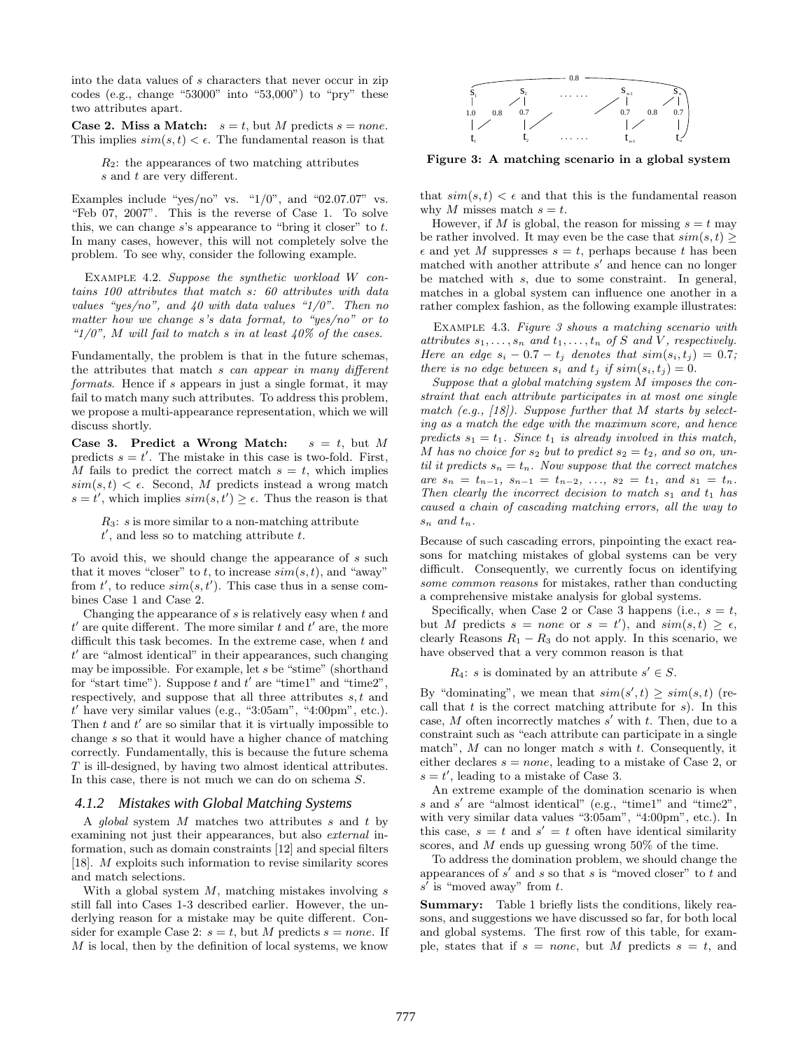into the data values of s characters that never occur in zip codes (e.g., change "53000" into "53,000") to "pry" these two attributes apart.

**Case 2. Miss a Match:**  $s = t$ , but M predicts  $s = none$ . This implies  $sim(s, t) < \epsilon$ . The fundamental reason is that

 $R_2$ : the appearances of two matching attributes s and t are very different.

Examples include "yes/no" vs. " $1/0$ ", and "02.07.07" vs. "Feb 07, 2007". This is the reverse of Case 1. To solve this, we can change  $s$ 's appearance to "bring it closer" to  $t$ . In many cases, however, this will not completely solve the problem. To see why, consider the following example.

Example 4.2. Suppose the synthetic workload W contains 100 attributes that match s: 60 attributes with data values "yes/no", and  $40$  with data values " $1/0$ ". Then no matter how we change s's data format, to "yes/no" or to " $1/0$ ", M will fail to match s in at least  $40\%$  of the cases.

Fundamentally, the problem is that in the future schemas, the attributes that match s can appear in many different formats. Hence if s appears in just a single format, it may fail to match many such attributes. To address this problem, we propose a multi-appearance representation, which we will discuss shortly.

Case 3. Predict a Wrong Match:  $s = t$ , but M predicts  $s = t'$ . The mistake in this case is two-fold. First, M fails to predict the correct match  $s = t$ , which implies  $sim(s, t) < \epsilon$ . Second, M predicts instead a wrong match  $s = t'$ , which implies  $sim(s, t') \geq \epsilon$ . Thus the reason is that

 $R_3$ : s is more similar to a non-matching attribute  $t'$ , and less so to matching attribute  $t$ .

To avoid this, we should change the appearance of s such that it moves "closer" to t, to increase  $sim(s, t)$ , and "away" from  $t'$ , to reduce  $sim(s, t')$ . This case thus in a sense combines Case 1 and Case 2.

Changing the appearance of s is relatively easy when t and  $t'$  are quite different. The more similar  $t$  and  $t'$  are, the more difficult this task becomes. In the extreme case, when  $t$  and t ′ are "almost identical" in their appearances, such changing may be impossible. For example, let s be "stime" (shorthand for "start time"). Suppose  $t$  and  $t'$  are "time1" and "time2", respectively, and suppose that all three attributes  $s, t$  and  $t'$  have very similar values (e.g., "3:05am", "4:00pm", etc.). Then  $t$  and  $t'$  are so similar that it is virtually impossible to change s so that it would have a higher chance of matching correctly. Fundamentally, this is because the future schema T is ill-designed, by having two almost identical attributes. In this case, there is not much we can do on schema S.

#### *4.1.2 Mistakes with Global Matching Systems*

A *global* system  $M$  matches two attributes  $s$  and  $t$  by examining not just their appearances, but also external information, such as domain constraints [12] and special filters [18]. M exploits such information to revise similarity scores and match selections.

With a global system  $M$ , matching mistakes involving  $s$ still fall into Cases 1-3 described earlier. However, the underlying reason for a mistake may be quite different. Consider for example Case 2:  $s = t$ , but M predicts  $s = none$ . If  $M$  is local, then by the definition of local systems, we know



Figure 3: A matching scenario in a global system

that  $sim(s, t) < \epsilon$  and that this is the fundamental reason why M misses match  $s = t$ .

However, if M is global, the reason for missing  $s = t$  may be rather involved. It may even be the case that  $sim(s, t)$  $\epsilon$  and yet M suppresses  $s = t$ , perhaps because t has been matched with another attribute  $s'$  and hence can no longer be matched with s, due to some constraint. In general, matches in a global system can influence one another in a rather complex fashion, as the following example illustrates:

Example 4.3. Figure 3 shows a matching scenario with attributes  $s_1, \ldots, s_n$  and  $t_1, \ldots, t_n$  of S and V, respectively. Here an edge  $s_i - 0.7 - t_j$  denotes that  $sim(s_i, t_j) = 0.7$ ; there is no edge between  $s_i$  and  $t_j$  if  $sim(s_i, t_j) = 0$ .

Suppose that a global matching system M imposes the constraint that each attribute participates in at most one single match  $(e.g., [18])$ . Suppose further that M starts by selecting as a match the edge with the maximum score, and hence predicts  $s_1 = t_1$ . Since  $t_1$  is already involved in this match, M has no choice for  $s_2$  but to predict  $s_2 = t_2$ , and so on, until it predicts  $s_n = t_n$ . Now suppose that the correct matches are  $s_n = t_{n-1}, s_{n-1} = t_{n-2}, \ldots, s_2 = t_1, \text{ and } s_1 = t_n.$ Then clearly the incorrect decision to match  $s_1$  and  $t_1$  has caused a chain of cascading matching errors, all the way to  $s_n$  and  $t_n$ .

Because of such cascading errors, pinpointing the exact reasons for matching mistakes of global systems can be very difficult. Consequently, we currently focus on identifying some common reasons for mistakes, rather than conducting a comprehensive mistake analysis for global systems.

Specifically, when Case 2 or Case 3 happens (i.e.,  $s = t$ , but M predicts  $s = none$  or  $s = t'$ , and  $sim(s,t) \geq \epsilon$ , clearly Reasons  $R_1 - R_3$  do not apply. In this scenario, we have observed that a very common reason is that

 $R_4$ : s is dominated by an attribute  $s' \in S$ .

By "dominating", we mean that  $sim(s', t) \geq sim(s, t)$  (recall that  $t$  is the correct matching attribute for  $s$ ). In this case,  $M$  often incorrectly matches  $s'$  with  $t$ . Then, due to a constraint such as "each attribute can participate in a single match",  $M$  can no longer match  $s$  with  $t$ . Consequently, it either declares  $s = none$ , leading to a mistake of Case 2, or  $s = t'$ , leading to a mistake of Case 3.

An extreme example of the domination scenario is when s and s' are "almost identical" (e.g., "time1" and "time2", with very similar data values "3:05am", "4:00pm", etc.). In this case,  $s = t$  and  $s' = t$  often have identical similarity scores, and M ends up guessing wrong 50% of the time.

To address the domination problem, we should change the appearances of  $s'$  and  $s$  so that  $s$  is "moved closer" to  $t$  and  $s'$  is "moved away" from  $t$ .

Summary: Table 1 briefly lists the conditions, likely reasons, and suggestions we have discussed so far, for both local and global systems. The first row of this table, for example, states that if  $s = none$ , but M predicts  $s = t$ , and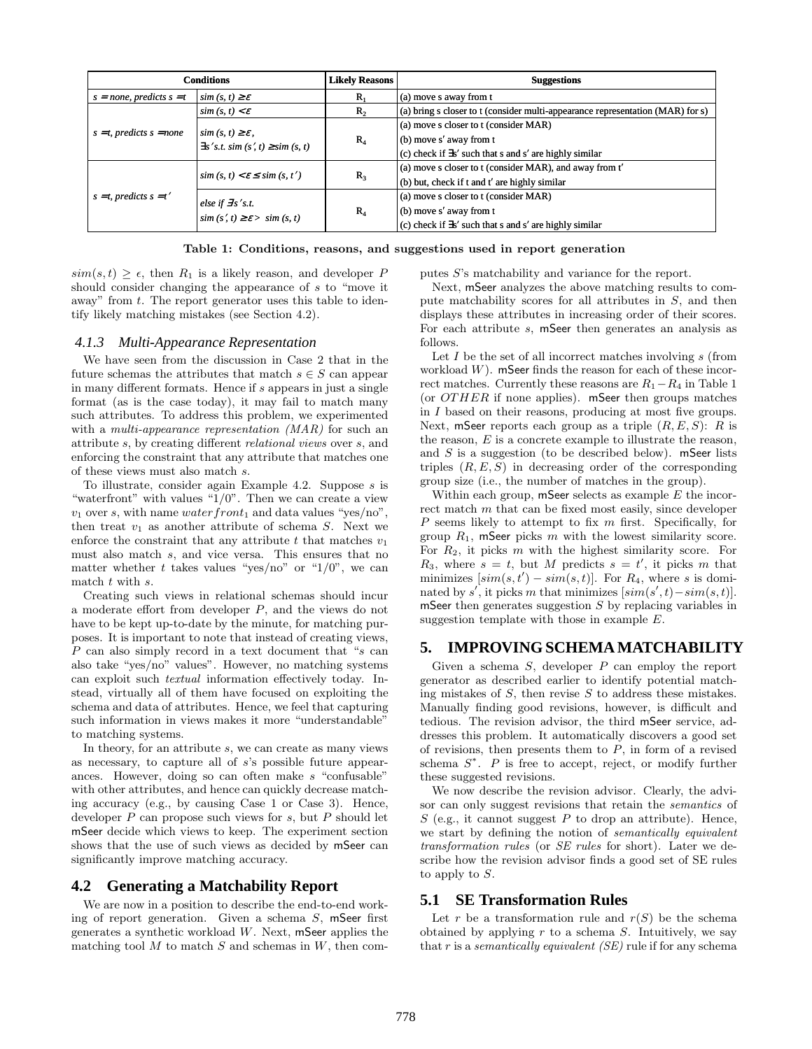|                                                                 | <b>Conditions</b>                                                              | Likely Reasons | <b>Suggestions</b>                                                             |  |
|-----------------------------------------------------------------|--------------------------------------------------------------------------------|----------------|--------------------------------------------------------------------------------|--|
| $s = none$ , predicts $s = t$<br>$\sin (s, t) \geq \varepsilon$ |                                                                                | $R_{1}$        | (a) move s away from t                                                         |  |
|                                                                 | $sim(s, t) < \varepsilon$                                                      | $R_{2}$        | (a) bring s closer to t (consider multi-appearance representation (MAR) for s) |  |
|                                                                 | $\sin(s, t) \geq \varepsilon$ ,<br>$\exists s' s.t. sim(s', t) \geq sim(s, t)$ | $R_4$          | (a) move s closer to t (consider MAR)                                          |  |
| $s = t$ , predicts $s = none$                                   |                                                                                |                | (b) move s' away from t                                                        |  |
|                                                                 |                                                                                |                | (c) check if $\exists$ s' such that s and s' are highly similar                |  |
|                                                                 |                                                                                | $R_3$          | (a) move s closer to t (consider MAR), and away from t'                        |  |
|                                                                 | $\sin(s, t) < \varepsilon \leq \sin(s, t')$                                    |                | (b) but, check if t and t' are highly similar                                  |  |
| $s = t$ , predicts $s = t'$                                     | else if $\exists s$ 's.t.<br>$\sin(s', t) \geq \varepsilon$ $> \sin(s, t)$     | $R_4$          | (a) move s closer to t (consider MAR)                                          |  |
|                                                                 |                                                                                |                | (b) move s' away from t                                                        |  |
|                                                                 |                                                                                |                | (c) check if $\exists$ s' such that s and s' are highly similar                |  |

Table 1: Conditions, reasons, and suggestions used in report generation

 $sim(s,t) > \epsilon$ , then  $R_1$  is a likely reason, and developer P should consider changing the appearance of s to "move it away" from t. The report generator uses this table to identify likely matching mistakes (see Section 4.2).

#### *4.1.3 Multi-Appearance Representation*

We have seen from the discussion in Case 2 that in the future schemas the attributes that match  $s \in S$  can appear in many different formats. Hence if s appears in just a single format (as is the case today), it may fail to match many such attributes. To address this problem, we experimented with a *multi-appearance representation (MAR)* for such an attribute s, by creating different relational views over s, and enforcing the constraint that any attribute that matches one of these views must also match s.

To illustrate, consider again Example 4.2. Suppose s is "waterfront" with values " $1/0$ ". Then we can create a view  $v_1$  over s, with name water front<sub>1</sub> and data values "yes/no", then treat  $v_1$  as another attribute of schema S. Next we enforce the constraint that any attribute  $t$  that matches  $v_1$ must also match s, and vice versa. This ensures that no matter whether t takes values "yes/no" or " $1/0$ ", we can match t with s.

Creating such views in relational schemas should incur a moderate effort from developer P, and the views do not have to be kept up-to-date by the minute, for matching purposes. It is important to note that instead of creating views,  $P$  can also simply record in a text document that " $s$  can also take "yes/no" values". However, no matching systems can exploit such textual information effectively today. Instead, virtually all of them have focused on exploiting the schema and data of attributes. Hence, we feel that capturing such information in views makes it more "understandable" to matching systems.

In theory, for an attribute s, we can create as many views as necessary, to capture all of s's possible future appearances. However, doing so can often make s "confusable" with other attributes, and hence can quickly decrease matching accuracy (e.g., by causing Case 1 or Case 3). Hence, developer  $P$  can propose such views for  $s$ , but  $P$  should let mSeer decide which views to keep. The experiment section shows that the use of such views as decided by mSeer can significantly improve matching accuracy.

# **4.2 Generating a Matchability Report**

We are now in a position to describe the end-to-end working of report generation. Given a schema  $S$ , mSeer first generates a synthetic workload W. Next, mSeer applies the matching tool  $M$  to match  $S$  and schemas in  $W$ , then computes S's matchability and variance for the report.

Next, mSeer analyzes the above matching results to compute matchability scores for all attributes in S, and then displays these attributes in increasing order of their scores. For each attribute s, mSeer then generates an analysis as follows.

Let  $I$  be the set of all incorrect matches involving  $s$  (from workload  $W$ ). mSeer finds the reason for each of these incorrect matches. Currently these reasons are  $R_1-R_4$  in Table 1 (or  $OTHER$  if none applies). mSeer then groups matches in I based on their reasons, producing at most five groups. Next, mSeer reports each group as a triple  $(R, E, S)$ : R is the reason,  $E$  is a concrete example to illustrate the reason, and  $S$  is a suggestion (to be described below). mSeer lists triples  $(R, E, S)$  in decreasing order of the corresponding group size (i.e., the number of matches in the group).

Within each group,  $m$ Seer selects as example  $E$  the incorrect match m that can be fixed most easily, since developer  $P$  seems likely to attempt to fix  $m$  first. Specifically, for group  $R_1$ , mSeer picks m with the lowest similarity score. For  $R_2$ , it picks m with the highest similarity score. For  $R_3$ , where  $s = t$ , but M predicts  $s = t'$ , it picks m that minimizes  $[sim(s,t') - sim(s,t)]$ . For  $R_4$ , where s is dominated by s', it picks m that minimizes  $[sim(s',t) - sim(s,t)].$ mSeer then generates suggestion  $S$  by replacing variables in suggestion template with those in example E.

# **5. IMPROVING SCHEMA MATCHABILITY**

Given a schema S, developer P can employ the report generator as described earlier to identify potential matching mistakes of  $S$ , then revise  $S$  to address these mistakes. Manually finding good revisions, however, is difficult and tedious. The revision advisor, the third mSeer service, addresses this problem. It automatically discovers a good set of revisions, then presents them to  $\overline{P}$ , in form of a revised schema  $S^*$ . P is free to accept, reject, or modify further these suggested revisions.

We now describe the revision advisor. Clearly, the advisor can only suggest revisions that retain the semantics of S (e.g., it cannot suggest P to drop an attribute). Hence, we start by defining the notion of semantically equivalent transformation rules (or SE rules for short). Later we describe how the revision advisor finds a good set of SE rules to apply to S.

### **5.1 SE Transformation Rules**

Let r be a transformation rule and  $r(S)$  be the schema obtained by applying  $r$  to a schema  $S$ . Intuitively, we say that r is a *semantically equivalent (SE)* rule if for any schema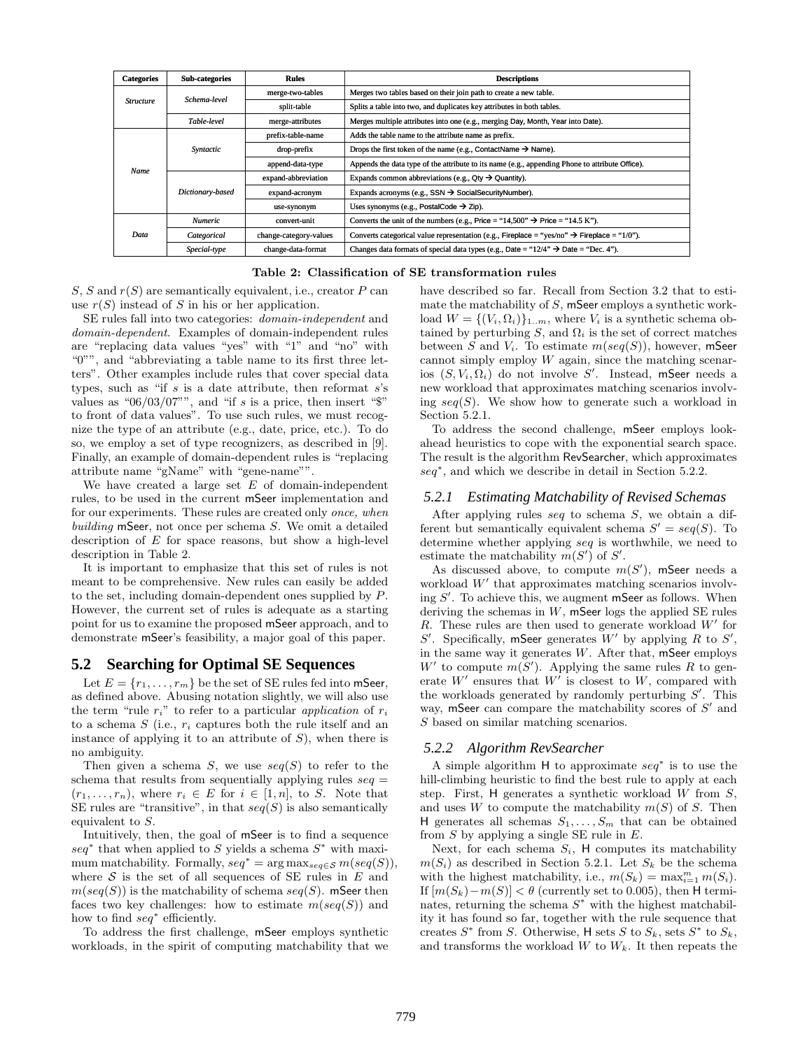| <b>Categories</b> | Sub-categories                  | <b>Rules</b>           | <b>Descriptions</b>                                                                                     |  |
|-------------------|---------------------------------|------------------------|---------------------------------------------------------------------------------------------------------|--|
| <b>Structure</b>  | Schema-level                    | merge-two-tables       | Merges two tables based on their join path to create a new table.                                       |  |
|                   |                                 | split-table            | Splits a table into two, and duplicates key attributes in both tables.                                  |  |
|                   | Table-level<br>merge-attributes |                        | Merges multiple attributes into one (e.g., merging Day, Month, Year into Date).                         |  |
|                   | Syntactic                       | prefix-table-name      | Adds the table name to the attribute name as prefix.                                                    |  |
|                   |                                 | drop-prefix            | Drops the first token of the name (e.g., ContactName $\rightarrow$ Name).                               |  |
| Name              |                                 | append-data-type       | Appends the data type of the attribute to its name (e.g., appending Phone to attribute Office).         |  |
|                   | Dictionary-based                | expand-abbreviation    | Expands common abbreviations (e.g., $Qty \rightarrow Quantity$ ).                                       |  |
|                   |                                 | expand-acronym         | Expands acronyms (e.g., SSN $\rightarrow$ SocialSecurityNumber).                                        |  |
|                   |                                 | use-synonym            | Uses synonyms (e.g., PostalCode $\rightarrow$ Zip).                                                     |  |
| Data              | <b>Numeric</b>                  | convert-unit           | Converts the unit of the numbers (e.g., Price = "14,500" $\rightarrow$ Price = "14.5 K").               |  |
|                   | Categorical                     | change-category-values | Converts categorical value representation (e.g., Fireplace = "yes/no" $\rightarrow$ Fireplace = "1/0"). |  |
|                   | Special-type                    | change-data-format     | Changes data formats of special data types (e.g., Date = " $12/4$ " $\rightarrow$ Date = "Dec. 4").     |  |

Table 2: Classification of SE transformation rules

 $S, S$  and  $r(S)$  are semantically equivalent, i.e., creator  $P$  can use  $r(S)$  instead of S in his or her application.

SE rules fall into two categories: domain-independent and domain-dependent. Examples of domain-independent rules are "replacing data values "yes" with "1" and "no" with "0"", and "abbreviating a table name to its first three letters". Other examples include rules that cover special data types, such as "if  $s$  is a date attribute, then reformat  $s$ 's values as " $06/03/07$ "", and "if s is a price, then insert " $\mathcal{F}$ " to front of data values". To use such rules, we must recognize the type of an attribute (e.g., date, price, etc.). To do so, we employ a set of type recognizers, as described in [9]. Finally, an example of domain-dependent rules is "replacing attribute name "gName" with "gene-name"".

We have created a large set  $E$  of domain-independent rules, to be used in the current mSeer implementation and for our experiments. These rules are created only once, when building mSeer, not once per schema S. We omit a detailed description of  $E$  for space reasons, but show a high-level description in Table 2.

It is important to emphasize that this set of rules is not meant to be comprehensive. New rules can easily be added to the set, including domain-dependent ones supplied by P. However, the current set of rules is adequate as a starting point for us to examine the proposed mSeer approach, and to demonstrate mSeer's feasibility, a major goal of this paper.

# **5.2 Searching for Optimal SE Sequences**

Let  $E = \{r_1, \ldots, r_m\}$  be the set of SE rules fed into mSeer, as defined above. Abusing notation slightly, we will also use the term "rule  $r_i$ " to refer to a particular *application* of  $r_i$ to a schema  $S$  (i.e.,  $r_i$  captures both the rule itself and an instance of applying it to an attribute of  $S$ ), when there is no ambiguity.

Then given a schema S, we use  $seq(S)$  to refer to the schema that results from sequentially applying rules  $seq =$  $(r_1, \ldots, r_n)$ , where  $r_i \in E$  for  $i \in [1, n]$ , to S. Note that SE rules are "transitive", in that  $seq(S)$  is also semantically equivalent to S.

Intuitively, then, the goal of mSeer is to find a sequence  $seq^*$  that when applied to S yields a schema  $S^*$  with maximum matchability. Formally,  $seq^* = \arg \max_{seq \in S} m(seq(S))$ . where  $S$  is the set of all sequences of SE rules in  $E$  and  $m(seq(S))$  is the matchability of schema  $seq(S)$ . mSeer then faces two key challenges: how to estimate  $m(seq(S))$  and how to find seq<sup>\*</sup> efficiently.

To address the first challenge, mSeer employs synthetic workloads, in the spirit of computing matchability that we

have described so far. Recall from Section 3.2 that to estimate the matchability of S, mSeer employs a synthetic workload  $W = \{(V_i, \Omega_i)\}_{1..m}$ , where  $V_i$  is a synthetic schema obtained by perturbing S, and  $\Omega_i$  is the set of correct matches between S and  $V_i$ . To estimate  $m(seq(S))$ , however, mSeer cannot simply employ  $W$  again, since the matching scenarios  $(S, V_i, \Omega_i)$  do not involve S'. Instead, mSeer needs a new workload that approximates matching scenarios involving  $seq(S)$ . We show how to generate such a workload in Section 5.2.1.

To address the second challenge, mSeer employs lookahead heuristics to cope with the exponential search space. The result is the algorithm RevSearcher, which approximates seq<sup>∗</sup> , and which we describe in detail in Section 5.2.2.

#### *5.2.1 Estimating Matchability of Revised Schemas*

After applying rules seq to schema S, we obtain a different but semantically equivalent schema  $S' = seq(S)$ . To determine whether applying seq is worthwhile, we need to estimate the matchability  $m(S')$  of  $S'$ .

As discussed above, to compute  $m(S')$ , mSeer needs a workload  $W'$  that approximates matching scenarios involving S'. To achieve this, we augment mSeer as follows. When deriving the schemas in  $W$ , mSeer logs the applied SE rules  $R$ . These rules are then used to generate workload  $W'$  for S'. Specifically, mSeer generates  $W'$  by applying R to S', in the same way it generates  $W$ . After that, mSeer employs W' to compute  $m(S')$ . Applying the same rules R to generate  $W'$  ensures that  $W'$  is closest to  $W$ , compared with the workloads generated by randomly perturbing  $S'$ . This way, mSeer can compare the matchability scores of  $S'$  and S based on similar matching scenarios.

#### *5.2.2 Algorithm RevSearcher*

A simple algorithm H to approximate seq<sup>∗</sup> is to use the hill-climbing heuristic to find the best rule to apply at each step. First,  $H$  generates a synthetic workload  $W$  from  $S$ , and uses W to compute the matchability  $m(S)$  of S. Then H generates all schemas  $S_1, \ldots, S_m$  that can be obtained from  $S$  by applying a single SE rule in  $E$ .

Next, for each schema  $S_i$ , H computes its matchability  $m(S_i)$  as described in Section 5.2.1. Let  $S_k$  be the schema with the highest matchability, i.e.,  $m(S_k) = \max_{i=1}^m m(S_i)$ . If  $[m(S_k)-m(S)] < \theta$  (currently set to 0.005), then H terminates, returning the schema  $S^*$  with the highest matchability it has found so far, together with the rule sequence that creates  $S^*$  from S. Otherwise, H sets S to  $S_k$ , sets  $S^*$  to  $S_k$ , and transforms the workload  $W$  to  $W_k$ . It then repeats the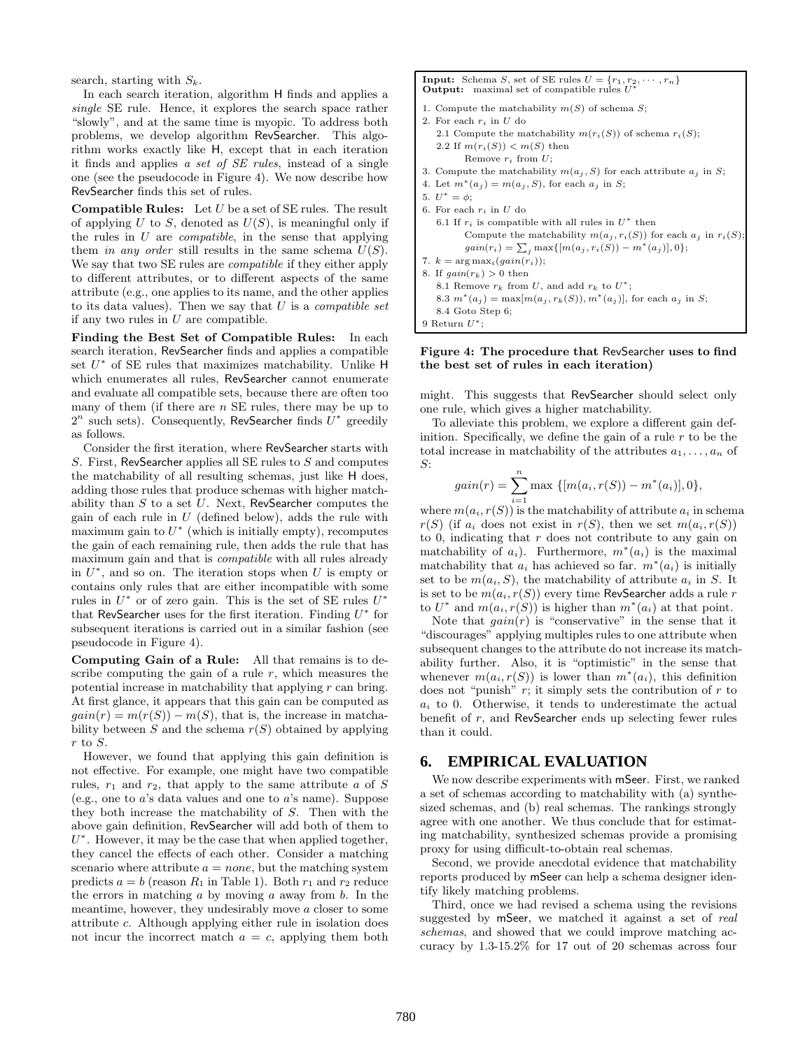search, starting with  $S_k$ .

In each search iteration, algorithm H finds and applies a single SE rule. Hence, it explores the search space rather "slowly", and at the same time is myopic. To address both problems, we develop algorithm RevSearcher. This algorithm works exactly like H, except that in each iteration it finds and applies a set of SE rules, instead of a single one (see the pseudocode in Figure 4). We now describe how RevSearcher finds this set of rules.

**Compatible Rules:** Let  $U$  be a set of SE rules. The result of applying U to S, denoted as  $U(S)$ , is meaningful only if the rules in  $U$  are *compatible*, in the sense that applying them in any order still results in the same schema  $U(S)$ . We say that two SE rules are *compatible* if they either apply to different attributes, or to different aspects of the same attribute (e.g., one applies to its name, and the other applies to its data values). Then we say that  $U$  is a *compatible set* if any two rules in  $U$  are compatible.

Finding the Best Set of Compatible Rules: In each search iteration, RevSearcher finds and applies a compatible set  $U^*$  of SE rules that maximizes matchability. Unlike  $H$ which enumerates all rules, RevSearcher cannot enumerate and evaluate all compatible sets, because there are often too many of them (if there are  $n$  SE rules, there may be up to  $2^n$  such sets). Consequently, RevSearcher finds  $U^*$  greedily as follows.

Consider the first iteration, where RevSearcher starts with S. First, RevSearcher applies all SE rules to S and computes the matchability of all resulting schemas, just like H does, adding those rules that produce schemas with higher matchability than  $S$  to a set  $U$ . Next, RevSearcher computes the gain of each rule in  $U$  (defined below), adds the rule with maximum gain to  $U^*$  (which is initially empty), recomputes the gain of each remaining rule, then adds the rule that has maximum gain and that is compatible with all rules already in  $U^*$ , and so on. The iteration stops when U is empty or contains only rules that are either incompatible with some rules in  $U^*$  or of zero gain. This is the set of SE rules  $U^*$ that RevSearcher uses for the first iteration. Finding  $U^*$  for subsequent iterations is carried out in a similar fashion (see pseudocode in Figure 4).

Computing Gain of a Rule: All that remains is to describe computing the gain of a rule  $r$ , which measures the potential increase in matchability that applying r can bring. At first glance, it appears that this gain can be computed as  $gain(r) = m(r(S)) - m(S)$ , that is, the increase in matchability between S and the schema  $r(S)$  obtained by applying r to  $S$ .

However, we found that applying this gain definition is not effective. For example, one might have two compatible rules,  $r_1$  and  $r_2$ , that apply to the same attribute a of S (e.g., one to a's data values and one to a's name). Suppose they both increase the matchability of S. Then with the above gain definition, RevSearcher will add both of them to  $U^*$ . However, it may be the case that when applied together, they cancel the effects of each other. Consider a matching scenario where attribute  $a = none$ , but the matching system predicts  $a = b$  (reason  $R_1$  in Table 1). Both  $r_1$  and  $r_2$  reduce the errors in matching  $a$  by moving  $a$  away from  $b$ . In the meantime, however, they undesirably move a closer to some attribute c. Although applying either rule in isolation does not incur the incorrect match  $a = c$ , applying them both

**Input:** Schema S, set of SE rules  $U = \{r_1, r_2, \dots, r_n\}$ <br>**Output:** maximal set of compatible rules  $U^*$ 1. Compute the matchability  $m(S)$  of schema S; 2. For each  $r_i$  in  $U$  do 2.1 Compute the matchability  $m(r_i(S))$  of schema  $r_i(S)$ ; 2.2 If  $m(r_i(S)) < m(S)$  then Remove  $r_i$  from  $U$ ; 3. Compute the matchability  $m(a_i, S)$  for each attribute  $a_i$  in S; 4. Let  $m^*(a_i) = m(a_i, S)$ , for each  $a_i$  in S; 5.  $U^* = \phi;$ 6. For each  $r_i$  in U do 6.1 If  $r_i$  is compatible with all rules in  $U^*$  then Compute the matchability  $m(a_j, r_i(S))$  for each  $a_j$  in  $r_i(S)$  $gain(r_i) = \sum_j \max\{[m(a_j, r_i(S)) - m^*(a_j)], 0\};$ 7.  $k = \arg \max_i (gain(r_i));$ 8. If  $gain(r_k) > 0$  then 8.1 Remove  $r_k$  from U, and add  $r_k$  to  $U^*$ ; 8.3  $m^*(a_j) = \max[m(a_j, r_k(S)), m^*(a_j)]$ , for each  $a_j$  in S; 8.4 Goto Step 6; 9 Return  $U^*$ ;

#### Figure 4: The procedure that RevSearcher uses to find the best set of rules in each iteration)

might. This suggests that RevSearcher should select only one rule, which gives a higher matchability.

To alleviate this problem, we explore a different gain definition. Specifically, we define the gain of a rule  $r$  to be the total increase in matchability of the attributes  $a_1, \ldots, a_n$  of S:

$$
gain(r) = \sum_{i=1}^{n} \max \{ [m(a_i, r(S)) - m^*(a_i)], 0 \},\
$$

where  $m(a_i, r(S))$  is the matchability of attribute  $a_i$  in schema  $r(S)$  (if  $a_i$  does not exist in  $r(S)$ , then we set  $m(a_i, r(S))$ to 0, indicating that  $r$  does not contribute to any gain on matchability of  $a_i$ ). Furthermore,  $m^*(a_i)$  is the maximal matchability that  $a_i$  has achieved so far.  $m^*(a_i)$  is initially set to be  $m(a_i, S)$ , the matchability of attribute  $a_i$  in S. It is set to be  $m(a_i, r(S))$  every time RevSearcher adds a rule r to  $U^*$  and  $m(a_i, r(S))$  is higher than  $m^*(a_i)$  at that point.

Note that  $gain(r)$  is "conservative" in the sense that it "discourages" applying multiples rules to one attribute when subsequent changes to the attribute do not increase its matchability further. Also, it is "optimistic" in the sense that whenever  $m(a_i, r(S))$  is lower than  $m^*(a_i)$ , this definition does not "punish"  $r$ ; it simply sets the contribution of  $r$  to  $a_i$  to 0. Otherwise, it tends to underestimate the actual benefit of r, and RevSearcher ends up selecting fewer rules than it could.

# **6. EMPIRICAL EVALUATION**

We now describe experiments with mSeer. First, we ranked a set of schemas according to matchability with (a) synthesized schemas, and (b) real schemas. The rankings strongly agree with one another. We thus conclude that for estimating matchability, synthesized schemas provide a promising proxy for using difficult-to-obtain real schemas.

Second, we provide anecdotal evidence that matchability reports produced by mSeer can help a schema designer identify likely matching problems.

Third, once we had revised a schema using the revisions suggested by mSeer, we matched it against a set of real schemas, and showed that we could improve matching accuracy by 1.3-15.2% for 17 out of 20 schemas across four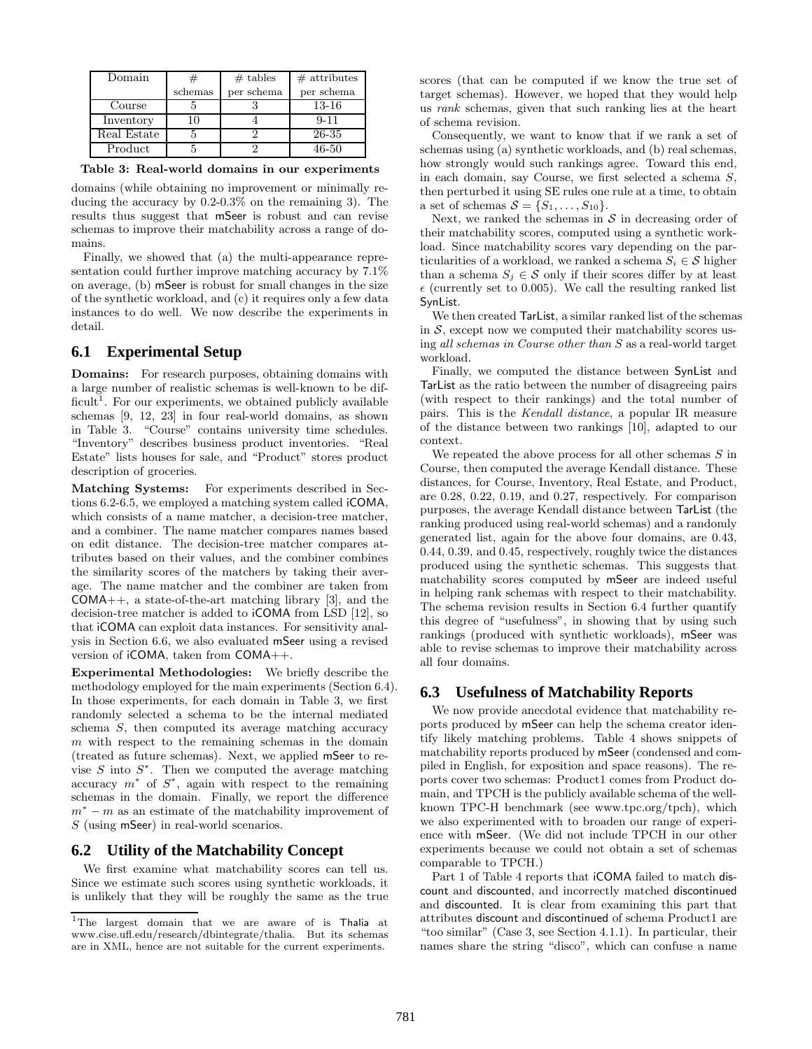| Domain      |         | $#$ tables | $#$ attributes |
|-------------|---------|------------|----------------|
|             | schemas | per schema | per schema     |
| Course      |         |            | $13 - 16$      |
| Inventory   | 10      |            | $9 - 11$       |
| Real Estate |         |            | 26-35          |
| Product     |         |            | 46-50          |

Table 3: Real-world domains in our experiments

domains (while obtaining no improvement or minimally reducing the accuracy by 0.2-0.3% on the remaining 3). The results thus suggest that mSeer is robust and can revise schemas to improve their matchability across a range of domains.

Finally, we showed that (a) the multi-appearance representation could further improve matching accuracy by 7.1% on average, (b) mSeer is robust for small changes in the size of the synthetic workload, and (c) it requires only a few data instances to do well. We now describe the experiments in detail.

# **6.1 Experimental Setup**

**Domains:** For research purposes, obtaining domains with a large number of realistic schemas is well-known to be difficult<sup>1</sup>. For our experiments, we obtained publicly available schemas [9, 12, 23] in four real-world domains, as shown in Table 3. "Course" contains university time schedules. "Inventory" describes business product inventories. "Real Estate" lists houses for sale, and "Product" stores product description of groceries.

Matching Systems: For experiments described in Sections 6.2-6.5, we employed a matching system called iCOMA, which consists of a name matcher, a decision-tree matcher, and a combiner. The name matcher compares names based on edit distance. The decision-tree matcher compares attributes based on their values, and the combiner combines the similarity scores of the matchers by taking their average. The name matcher and the combiner are taken from  $COMA++$ , a state-of-the-art matching library [3], and the decision-tree matcher is added to iCOMA from LSD [12], so that iCOMA can exploit data instances. For sensitivity analysis in Section 6.6, we also evaluated mSeer using a revised version of iCOMA, taken from COMA++.

Experimental Methodologies: We briefly describe the methodology employed for the main experiments (Section 6.4). In those experiments, for each domain in Table 3, we first randomly selected a schema to be the internal mediated schema S, then computed its average matching accuracy  $m$  with respect to the remaining schemas in the domain (treated as future schemas). Next, we applied mSeer to revise  $S$  into  $S^*$ . Then we computed the average matching accuracy  $m^*$  of  $S^*$ , again with respect to the remaining schemas in the domain. Finally, we report the difference  $m<sup>*</sup> - m$  as an estimate of the matchability improvement of S (using mSeer) in real-world scenarios.

# **6.2 Utility of the Matchability Concept**

We first examine what matchability scores can tell us. Since we estimate such scores using synthetic workloads, it is unlikely that they will be roughly the same as the true scores (that can be computed if we know the true set of target schemas). However, we hoped that they would help us rank schemas, given that such ranking lies at the heart of schema revision.

Consequently, we want to know that if we rank a set of schemas using (a) synthetic workloads, and (b) real schemas, how strongly would such rankings agree. Toward this end, in each domain, say Course, we first selected a schema S, then perturbed it using SE rules one rule at a time, to obtain a set of schemas  $S = \{S_1, \ldots, S_{10}\}.$ 

Next, we ranked the schemas in  $S$  in decreasing order of their matchability scores, computed using a synthetic workload. Since matchability scores vary depending on the particularities of a workload, we ranked a schema  $S_i \in \mathcal{S}$  higher than a schema  $S_i \in \mathcal{S}$  only if their scores differ by at least  $\epsilon$  (currently set to 0.005). We call the resulting ranked list SynList.

We then created TarList, a similar ranked list of the schemas in  $S$ , except now we computed their matchability scores using all schemas in Course other than S as a real-world target workload.

Finally, we computed the distance between SynList and TarList as the ratio between the number of disagreeing pairs (with respect to their rankings) and the total number of pairs. This is the Kendall distance, a popular IR measure of the distance between two rankings [10], adapted to our context.

We repeated the above process for all other schemas  $S$  in Course, then computed the average Kendall distance. These distances, for Course, Inventory, Real Estate, and Product, are 0.28, 0.22, 0.19, and 0.27, respectively. For comparison purposes, the average Kendall distance between TarList (the ranking produced using real-world schemas) and a randomly generated list, again for the above four domains, are 0.43, 0.44, 0.39, and 0.45, respectively, roughly twice the distances produced using the synthetic schemas. This suggests that matchability scores computed by mSeer are indeed useful in helping rank schemas with respect to their matchability. The schema revision results in Section 6.4 further quantify this degree of "usefulness", in showing that by using such rankings (produced with synthetic workloads), mSeer was able to revise schemas to improve their matchability across all four domains.

# **6.3 Usefulness of Matchability Reports**

We now provide anecdotal evidence that matchability reports produced by mSeer can help the schema creator identify likely matching problems. Table 4 shows snippets of matchability reports produced by mSeer (condensed and compiled in English, for exposition and space reasons). The reports cover two schemas: Product1 comes from Product domain, and TPCH is the publicly available schema of the wellknown TPC-H benchmark (see www.tpc.org/tpch), which we also experimented with to broaden our range of experience with mSeer. (We did not include TPCH in our other experiments because we could not obtain a set of schemas comparable to TPCH.)

Part 1 of Table 4 reports that iCOMA failed to match discount and discounted, and incorrectly matched discontinued and discounted. It is clear from examining this part that attributes discount and discontinued of schema Product1 are "too similar" (Case 3, see Section 4.1.1). In particular, their names share the string "disco", which can confuse a name

<sup>1</sup>The largest domain that we are aware of is Thalia at www.cise.ufl.edu/research/dbintegrate/thalia. But its schemas are in XML, hence are not suitable for the current experiments.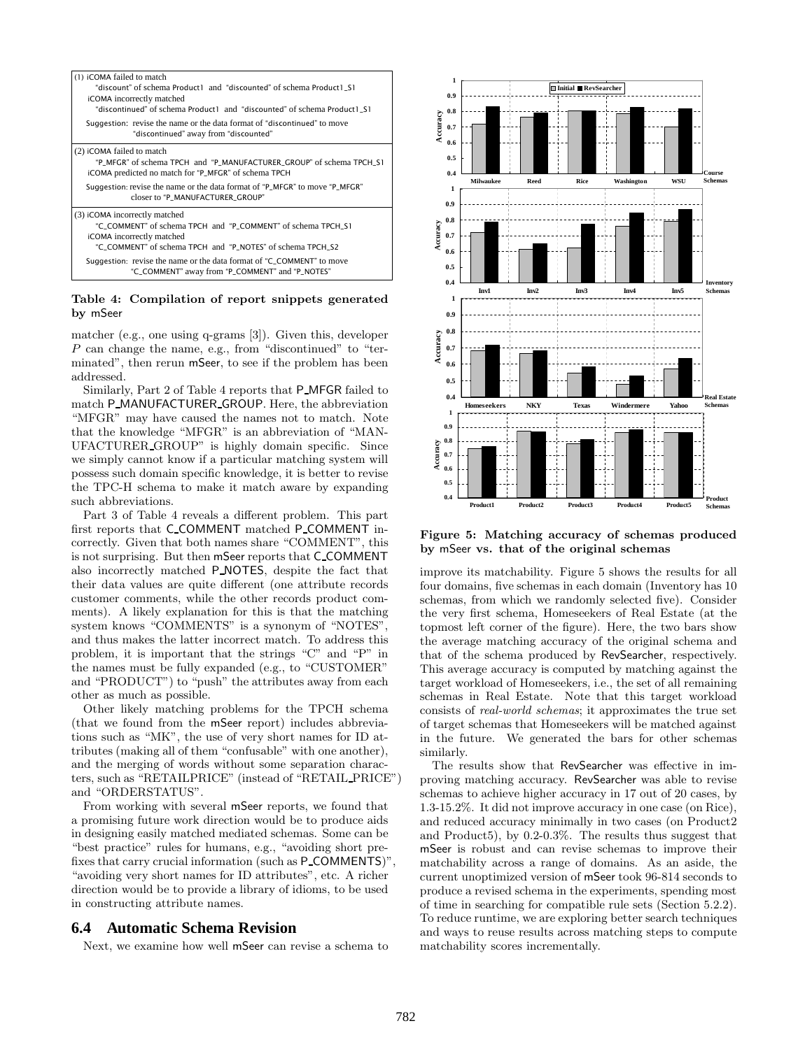

#### Table 4: Compilation of report snippets generated by mSeer

matcher (e.g., one using q-grams [3]). Given this, developer P can change the name, e.g., from "discontinued" to "terminated", then rerun mSeer, to see if the problem has been addressed.

Similarly, Part 2 of Table 4 reports that P MFGR failed to match P MANUFACTURER GROUP. Here, the abbreviation "MFGR" may have caused the names not to match. Note that the knowledge "MFGR" is an abbreviation of "MAN-UFACTURER GROUP" is highly domain specific. Since we simply cannot know if a particular matching system will possess such domain specific knowledge, it is better to revise the TPC-H schema to make it match aware by expanding such abbreviations.

Part 3 of Table 4 reveals a different problem. This part first reports that C COMMENT matched P COMMENT incorrectly. Given that both names share "COMMENT", this is not surprising. But then mSeer reports that C COMMENT also incorrectly matched P NOTES, despite the fact that their data values are quite different (one attribute records customer comments, while the other records product comments). A likely explanation for this is that the matching system knows "COMMENTS" is a synonym of "NOTES", and thus makes the latter incorrect match. To address this problem, it is important that the strings "C" and "P" in the names must be fully expanded (e.g., to "CUSTOMER" and "PRODUCT") to "push" the attributes away from each other as much as possible.

Other likely matching problems for the TPCH schema (that we found from the mSeer report) includes abbreviations such as "MK", the use of very short names for ID attributes (making all of them "confusable" with one another), and the merging of words without some separation characters, such as "RETAILPRICE" (instead of "RETAIL PRICE") and "ORDERSTATUS".

From working with several mSeer reports, we found that a promising future work direction would be to produce aids in designing easily matched mediated schemas. Some can be "best practice" rules for humans, e.g., "avoiding short prefixes that carry crucial information (such as P COMMENTS)", "avoiding very short names for ID attributes", etc. A richer direction would be to provide a library of idioms, to be used in constructing attribute names.

# **6.4 Automatic Schema Revision**

Next, we examine how well mSeer can revise a schema to



Figure 5: Matching accuracy of schemas produced by mSeer vs. that of the original schemas

improve its matchability. Figure 5 shows the results for all four domains, five schemas in each domain (Inventory has 10 schemas, from which we randomly selected five). Consider the very first schema, Homeseekers of Real Estate (at the topmost left corner of the figure). Here, the two bars show the average matching accuracy of the original schema and that of the schema produced by RevSearcher, respectively. This average accuracy is computed by matching against the target workload of Homeseekers, i.e., the set of all remaining schemas in Real Estate. Note that this target workload consists of real-world schemas; it approximates the true set of target schemas that Homeseekers will be matched against in the future. We generated the bars for other schemas similarly.

The results show that RevSearcher was effective in improving matching accuracy. RevSearcher was able to revise schemas to achieve higher accuracy in 17 out of 20 cases, by 1.3-15.2%. It did not improve accuracy in one case (on Rice), and reduced accuracy minimally in two cases (on Product2 and Product5), by 0.2-0.3%. The results thus suggest that mSeer is robust and can revise schemas to improve their matchability across a range of domains. As an aside, the current unoptimized version of mSeer took 96-814 seconds to produce a revised schema in the experiments, spending most of time in searching for compatible rule sets (Section 5.2.2). To reduce runtime, we are exploring better search techniques and ways to reuse results across matching steps to compute matchability scores incrementally.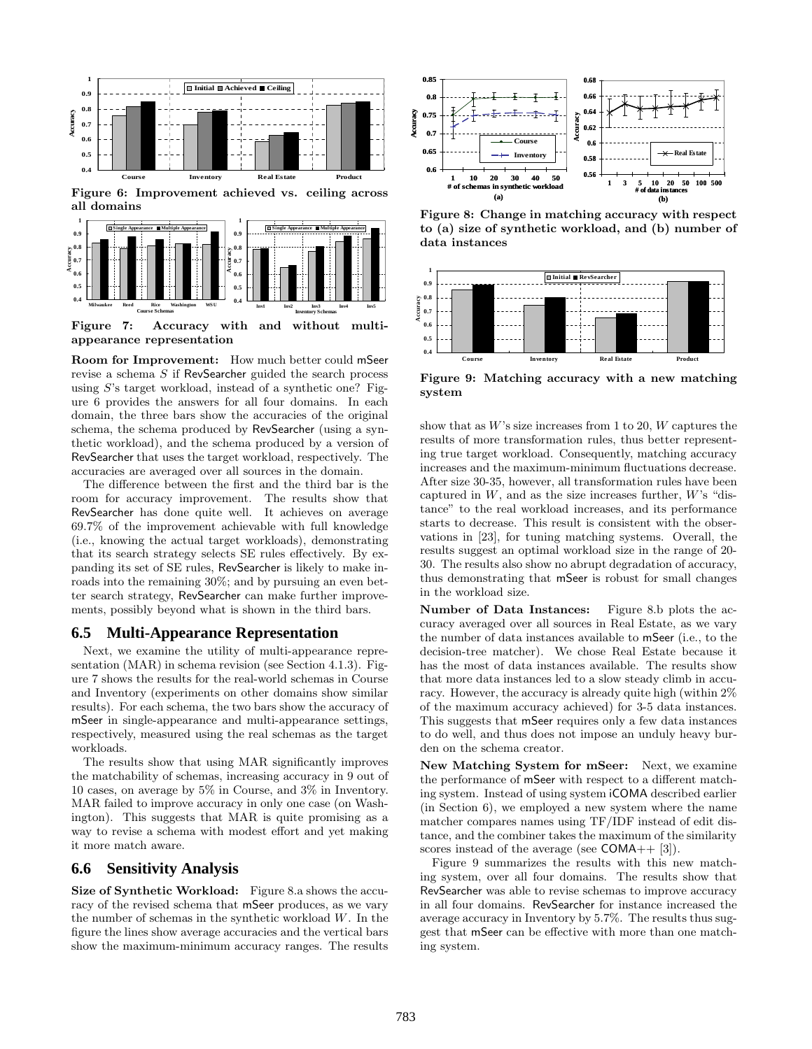

Figure 7: Accuracy with and without multiappearance representation

**Milwaukee Reed Rice Washington WSU Course Schemas**

**Inv1 Inv2 Inv3 Inv4 Inv5 Inventory Schemas**

Room for Improvement: How much better could mSeer revise a schema S if RevSearcher guided the search process using S's target workload, instead of a synthetic one? Figure 6 provides the answers for all four domains. In each domain, the three bars show the accuracies of the original schema, the schema produced by RevSearcher (using a synthetic workload), and the schema produced by a version of RevSearcher that uses the target workload, respectively. The accuracies are averaged over all sources in the domain.

The difference between the first and the third bar is the room for accuracy improvement. The results show that RevSearcher has done quite well. It achieves on average 69.7% of the improvement achievable with full knowledge (i.e., knowing the actual target workloads), demonstrating that its search strategy selects SE rules effectively. By expanding its set of SE rules, RevSearcher is likely to make inroads into the remaining 30%; and by pursuing an even better search strategy, RevSearcher can make further improvements, possibly beyond what is shown in the third bars.

# **6.5 Multi-Appearance Representation**

Next, we examine the utility of multi-appearance representation (MAR) in schema revision (see Section 4.1.3). Figure 7 shows the results for the real-world schemas in Course and Inventory (experiments on other domains show similar results). For each schema, the two bars show the accuracy of mSeer in single-appearance and multi-appearance settings, respectively, measured using the real schemas as the target workloads.

The results show that using MAR significantly improves the matchability of schemas, increasing accuracy in 9 out of 10 cases, on average by 5% in Course, and 3% in Inventory. MAR failed to improve accuracy in only one case (on Washington). This suggests that MAR is quite promising as a way to revise a schema with modest effort and yet making it more match aware.

# **6.6 Sensitivity Analysis**

Size of Synthetic Workload: Figure 8.a shows the accuracy of the revised schema that mSeer produces, as we vary the number of schemas in the synthetic workload W. In the figure the lines show average accuracies and the vertical bars show the maximum-minimum accuracy ranges. The results



Figure 8: Change in matching accuracy with respect to (a) size of synthetic workload, and (b) number of data instances



Figure 9: Matching accuracy with a new matching system

show that as  $W$ 's size increases from 1 to 20,  $W$  captures the results of more transformation rules, thus better representing true target workload. Consequently, matching accuracy increases and the maximum-minimum fluctuations decrease. After size 30-35, however, all transformation rules have been captured in  $W$ , and as the size increases further,  $W$ 's "distance" to the real workload increases, and its performance starts to decrease. This result is consistent with the observations in [23], for tuning matching systems. Overall, the results suggest an optimal workload size in the range of 20- 30. The results also show no abrupt degradation of accuracy, thus demonstrating that mSeer is robust for small changes in the workload size.

Number of Data Instances: Figure 8.b plots the accuracy averaged over all sources in Real Estate, as we vary the number of data instances available to mSeer (i.e., to the decision-tree matcher). We chose Real Estate because it has the most of data instances available. The results show that more data instances led to a slow steady climb in accuracy. However, the accuracy is already quite high (within 2% of the maximum accuracy achieved) for 3-5 data instances. This suggests that mSeer requires only a few data instances to do well, and thus does not impose an unduly heavy burden on the schema creator.

New Matching System for mSeer: Next, we examine the performance of mSeer with respect to a different matching system. Instead of using system iCOMA described earlier (in Section 6), we employed a new system where the name matcher compares names using TF/IDF instead of edit distance, and the combiner takes the maximum of the similarity scores instead of the average (see  $COMA++ [3]$ ).

Figure 9 summarizes the results with this new matching system, over all four domains. The results show that RevSearcher was able to revise schemas to improve accuracy in all four domains. RevSearcher for instance increased the average accuracy in Inventory by 5.7%. The results thus suggest that mSeer can be effective with more than one matching system.